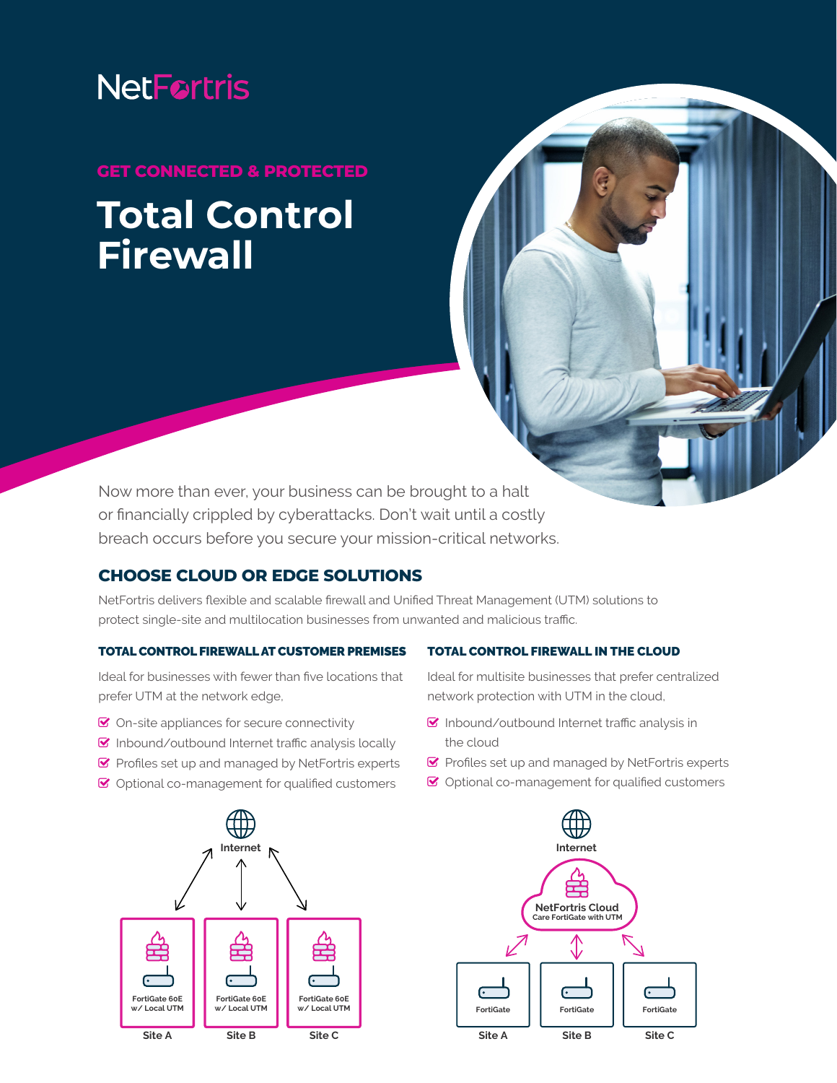# **NetFortris**

## **GET CONNECTED & PROTECTED Total Control Firewall**

Now more than ever, your business can be brought to a halt or financially crippled by cyberattacks. Don't wait until a costly breach occurs before you secure your mission-critical networks.

### **CHOOSE CLOUD OR EDGE SOLUTIONS**

NetFortris delivers flexible and scalable firewall and Unified Threat Management (UTM) solutions to protect single-site and multilocation businesses from unwanted and malicious traffic.

#### TOTAL CONTROL FIREWALL AT CUSTOMER PREMISES

Ideal for businesses with fewer than five locations that prefer UTM at the network edge,

- $\bullet$  On-site appliances for secure connectivity
- $\triangledown$  Inbound/outbound Internet traffic analysis locally
- $\blacktriangleright$  Profiles set up and managed by NetFortris experts
- $\bullet$  Optional co-management for qualified customers



#### TOTAL CONTROL FIREWALL IN THE CLOUD

Ideal for multisite businesses that prefer centralized network protection with UTM in the cloud,

- $\heartsuit$  Inbound/outbound Internet traffic analysis in the cloud
- $\blacktriangleright$  Profiles set up and managed by NetFortris experts
- $\triangleright$  Optional co-management for qualified customers